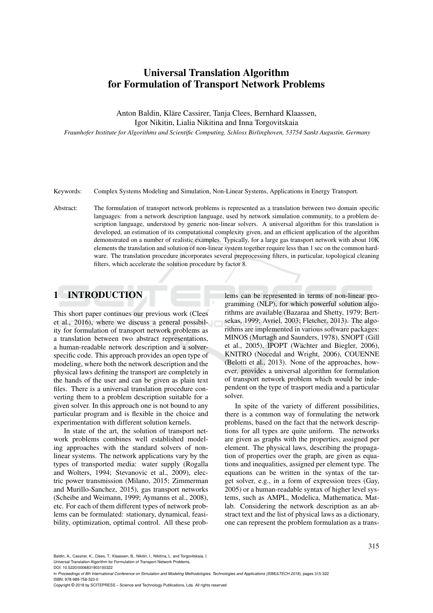# Universal Translation Algorithm for Formulation of Transport Network Problems

Anton Baldin, Kläre Cassirer, Tanja Clees, Bernhard Klaassen,

Igor Nikitin, Lialia Nikitina and Inna Torgovitskaia

*Fraunhofer Institute for Algorithms and Scientific Computing, Schloss Birlinghoven, 53754 Sankt Augustin, Germany*

Keywords: Complex Systems Modeling and Simulation, Non-Linear Systems, Applications in Energy Transport.

Abstract: The formulation of transport network problems is represented as a translation between two domain specific languages: from a network description language, used by network simulation community, to a problem description language, understood by generic non-linear solvers. A universal algorithm for this translation is developed, an estimation of its computational complexity given, and an efficient application of the algorithm demonstrated on a number of realistic examples. Typically, for a large gas transport network with about 10K elements the translation and solution of non-linear system together require less than 1 sec on the common hardware. The translation procedure incorporates several preprocessing filters, in particular, topological cleaning filters, which accelerate the solution procedure by factor 8.

## 1 INTRODUCTION

This short paper continues our previous work (Clees et al., 2016), where we discuss a general possibility for formulation of transport network problems as a translation between two abstract representations, a human-readable network description and a solverspecific code. This approach provides an open type of modeling, where both the network description and the physical laws defining the transport are completely in the hands of the user and can be given as plain text files. There is a universal translation procedure converting them to a problem description suitable for a given solver. In this approach one is not bound to any particular program and is flexible in the choice and experimentation with different solution kernels.

In state of the art, the solution of transport network problems combines well established modeling approaches with the standard solvers of nonlinear systems. The network applications vary by the types of transported media: water supply (Rogalla and Wolters, 1994; Stevanovic et al., 2009), electric power transmission (Milano, 2015; Zimmerman and Murillo-Sanchez, 2015), gas transport networks (Scheibe and Weimann, 1999; Aymanns et al., 2008), etc. For each of them different types of network problems can be formulated: stationary, dynamical, feasibility, optimization, optimal control. All these problems can be represented in terms of non-linear programming (NLP), for which powerful solution algorithms are available (Bazaraa and Shetty, 1979; Bertsekas, 1999; Avriel, 2003; Fletcher, 2013). The algorithms are implemented in various software packages: MINOS (Murtagh and Saunders, 1978), SNOPT (Gill et al.,  $2005$ ), IPOPT (Wächter and Biegler,  $2006$ ), KNITRO (Nocedal and Wright, 2006), COUENNE (Belotti et al., 2013). None of the approaches, however, provides a universal algorithm for formulation of transport network problem which would be independent on the type of trasport media and a particular solver.

In spite of the variety of different possibilities, there is a common way of formulating the network problems, based on the fact that the network descriptions for all types are quite uniform. The networks are given as graphs with the properties, assigned per element. The physical laws, describing the propagation of properties over the graph, are given as equations and inequalities, assigned per element type. The equations can be written in the syntax of the target solver, e.g., in a form of expression trees (Gay, 2005) or a human-readable syntax of higher level systems, such as AMPL, Modelica, Mathematica, Matlab. Considering the network description as an abstract text and the list of physical laws as a dictionary, one can represent the problem formulation as a trans-

Baldin, A., Cassirer, K., Clees, T., Klaassen, B., Nikitin, I., Nikitina, L. and Torgovitskaia, I.

Universal Translation Algorithm for Formulation of Transport Network Problems. DOI: 10.5220/0006831903150322

In *Proceedings of 8th International Conference on Simulation and Modeling Methodologies, Technologies and Applications (SIMULTECH 2018)*, pages 315-322 ISBN: 978-989-758-323-0

Copyright © 2018 by SCITEPRESS – Science and Technology Publications, Lda. All rights reserved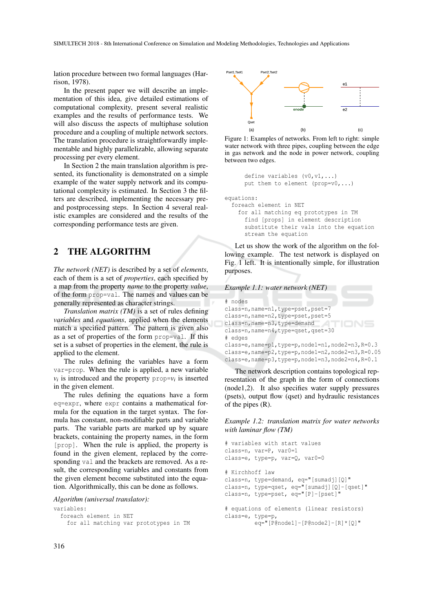lation procedure between two formal languages (Harrison, 1978).

In the present paper we will describe an implementation of this idea, give detailed estimations of computational complexity, present several realistic examples and the results of performance tests. We will also discuss the aspects of multiphase solution procedure and a coupling of multiple network sectors. The translation procedure is straightforwardly implementable and highly parallelizable, allowing separate processing per every element.

In Section 2 the main translation algorithm is presented, its functionality is demonstrated on a simple example of the water supply network and its computational complexity is estimated. In Section 3 the filters are described, implementing the necessary preand postprocessing steps. In Section 4 several realistic examples are considered and the results of the corresponding performance tests are given.

# 2 THE ALGORITHM

*The network (NET)* is described by a set of *elements*, each of them is a set of *properties*, each specified by a map from the property *name* to the property *value*, of the form prop=val. The names and values can be generally represented as character strings.

*Translation matrix (TM)* is a set of rules defining *variables* and *equations*, applied when the elements match a specified pattern. The pattern is given also as a set of properties of the form prop=val. If this set is a subset of properties in the element, the rule is applied to the element.

The rules defining the variables have a form var=prop. When the rule is applied, a new variable  $v_i$  is introduced and the property prop= $v_i$  is inserted in the given element.

The rules defining the equations have a form eq=expr, where expr contains a mathematical formula for the equation in the target syntax. The formula has constant, non-modifiable parts and variable parts. The variable parts are marked up by square brackets, containing the property names, in the form [prop]. When the rule is applied, the property is found in the given element, replaced by the corresponding val and the brackets are removed. As a result, the corresponding variables and constants from the given element become substituted into the equation. Algorithmically, this can be done as follows.

*Algorithm (universal translator):*

variables:

foreach element in NET

```
for all matching var prototypes in TM
```


Figure 1: Examples of networks. From left to right: simple water network with three pipes, coupling between the edge in gas network and the node in power network, coupling between two edges.

```
define variables (v0.v1....)
put them to element (prop=v0,...)
```
equations:

foreach element in NET for all matching eq prototypes in TM find [props] in element description substitute their vals into the equation stream the equation

Let us show the work of the algorithm on the following example. The test network is displayed on Fig. 1 left. It is intentionally simple, for illustration purposes.

| Example 1.1: water network (NET)                     |
|------------------------------------------------------|
| # nodes                                              |
|                                                      |
| class=n, name=n1, type=pset, pset=7                  |
| class=n, name=n2, type=pset, pset=5                  |
| class=n, name=n3, type=demand                        |
| class=n, name=n4, type=qset, qset=30<br># edges      |
| class=e, name=p1, type=p, node1=n1, node2=n3, R=0.3  |
| class=e, name=p2, type=p, node1=n2, node2=n3, R=0.05 |
| class=e, name=p3, type=p, node1=n3, node2=n4, R=0.1  |

The network description contains topological representation of the graph in the form of connections (node1,2). It also specifies water supply pressures (psets), output flow (qset) and hydraulic resistances of the pipes (R).

*Example 1.2: translation matrix for water networks with laminar flow (TM)*

```
# variables with start values
class=n, var=P, var0=1
class=e, type=p, var=Q, var0=0
# Kirchhoff law
class=n, type=demand, eq="[sumadj][Q]"
class=n, type=qset, eq="[sumadj][Q]-[qset]"
class=n, type=pset, eq="[P]-[pset]"
# equations of elements (linear resistors)
class=e, type=p,
         eq="[P@node1]-[P@node2]-[R]*[Q]"
```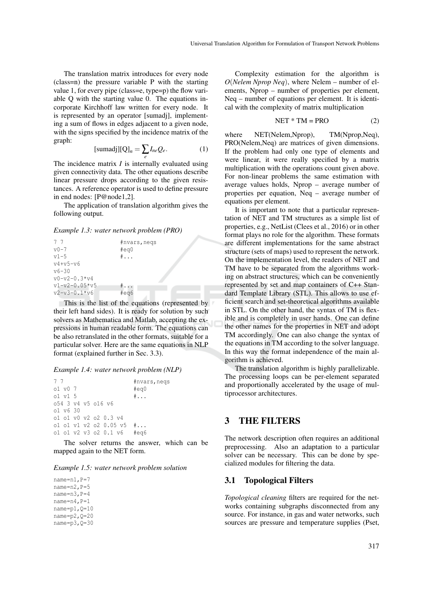The translation matrix introduces for every node (class=n) the pressure variable P with the starting value 1, for every pipe (class=e, type=p) the flow variable Q with the starting value 0. The equations incorporate Kirchhoff law written for every node. It is represented by an operator [sumadj], implementing a sum of flows in edges adjacent to a given node, with the signs specified by the incidence matrix of the graph:

$$
[\text{sumadj}][Q]_n = \sum_e I_{ne} Q_e. \tag{1}
$$

The incidence matrix *I* is internally evaluated using given connectivity data. The other equations describe linear pressure drops according to the given resistances. A reference operator is used to define pressure in end nodes: [P@node1,2].

The application of translation algorithm gives the following output.

*Example 1.3: water network problem (PRO)*

| #nvars, negs  |
|---------------|
| #eq0          |
| $\# \ldots$   |
|               |
|               |
|               |
| $\frac{4}{3}$ |
| #ea6          |
|               |

This is the list of the equations (represented by their left hand sides). It is ready for solution by such solvers as Mathematica and Matlab, accepting the expressions in human readable form. The equations can be also retranslated in the other formats, suitable for a particular solver. Here are the same equations in NLP format (explained further in Sec. 3.3).

#### *Example 1.4: water network problem (NLP)*

```
7 7 \mu \mu \mu \mu \mu \mu \mu \sigma \sigma \sigmao1 v0 7 #eq0<br>o1 v1 5 #...
o1 v1 5 #...
o54 3 v4 v5 o16 v6
o1 v6 30
o1 o1 v0 v2 o2 0.3 v4
o1 o1 v1 v2 o2 0.05 v5 #...
o1 o1 v2 v3 o2 0.1 v6 #eq6
```
The solver returns the answer, which can be mapped again to the NET form.

|  | Example 1.5: water network problem solution |  |  |
|--|---------------------------------------------|--|--|
|--|---------------------------------------------|--|--|

name=n1, P=7 name=n2,P=5 name=n3,P=4 name=n4,P=1 name=p1,Q=10 name=p2,Q=20 name=p3,Q=30

Complexity estimation for the algorithm is *O*(*Nelem Nprop Neq*), where Nelem – number of elements, Nprop – number of properties per element, Neq – number of equations per element. It is identical with the complexity of matrix multiplication

$$
NET * TM = PRO
$$
 (2)

where NET(Nelem,Nprop), TM(Nprop,Neq), PRO(Nelem,Neq) are matrices of given dimensions. If the problem had only one type of elements and were linear, it were really specified by a matrix multiplication with the operations count given above. For non-linear problems the same estimation with average values holds, Nprop – average number of properties per equation, Neq – average number of equations per element.

It is important to note that a particular representation of NET and TM structures as a simple list of properties, e.g., NetList (Clees et al., 2016) or in other format plays no role for the algorithm. These formats are different implementations for the same abstract structure (sets of maps) used to represent the network. On the implementation level, the readers of NET and TM have to be separated from the algorithms working on abstract structures, which can be conveniently represented by set and map containers of C++ Standard Template Library (STL). This allows to use efficient search and set-theoretical algorithms available in STL. On the other hand, the syntax of TM is flexible and is completely in user hands. One can define the other names for the properties in NET and adopt TM accordingly. One can also change the syntax of the equations in TM according to the solver language. In this way the format independence of the main algorithm is achieved.

The translation algorithm is highly parallelizable. The processing loops can be per-element separated and proportionally accelerated by the usage of multiprocessor architectures.

### 3 THE FILTERS

The network description often requires an additional preprocessing. Also an adaptation to a particular solver can be necessary. This can be done by specialized modules for filtering the data.

### 3.1 Topological Filters

*Topological cleaning* filters are required for the networks containing subgraphs disconnected from any source. For instance, in gas and water networks, such sources are pressure and temperature supplies (Pset,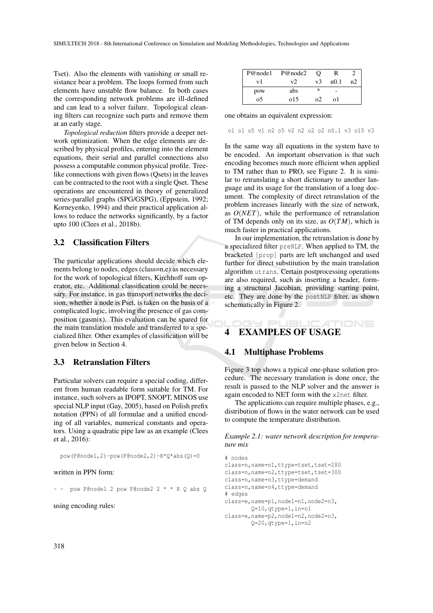Tset). Also the elements with vanishing or small resistance bear a problem. The loops formed from such elements have unstable flow balance. In both cases the corresponding network problems are ill-defined and can lead to a solver failure. Topological cleaning filters can recognize such parts and remove them at an early stage.

*Topological reduction* filters provide a deeper network optimization. When the edge elements are described by physical profiles, entering into the element equations, their serial and parallel connections also possess a computable common physical profile. Treelike connections with given flows (Qsets) in the leaves can be contracted to the root with a single Qset. These operations are encountered in theory of generalized series-parallel graphs (SPG/GSPG), (Eppstein, 1992; Korneyenko, 1994) and their practical application allows to reduce the networks significantly, by a factor upto 100 (Clees et al., 2018b).

### 3.2 Classification Filters

The particular applications should decide which elements belong to nodes, edges (class=n,e) as necessary for the work of topological filters, Kirchhoff sum operator, etc. Additional classification could be necessary. For instance, in gas transport networks the decision, whether a node is Pset, is taken on the basis of a complicated logic, involving the presence of gas composition (gasmix). This evaluation can be spared for the main translation module and transferred to a specialized filter. Other examples of classification will be given below in Section 4.

## 3.3 Retranslation Filters

Particular solvers can require a special coding, different from human readable form suitable for TM. For instance, such solvers as IPOPT, SNOPT, MINOS use special NLP input (Gay, 2005), based on Polish prefix notation (PPN) of all formulae and a unified encoding of all variables, numerical constants and operators. Using a quadratic pipe law as an example (Clees et al., 2016):

pow(P@node1,2)-pow(P@node2,2)-R\*Q\*abs(Q)=0

#### written in PPN form:

pow P@node1 2 pow P@node2 2 \* \* R Q abs Q

using encoding rules:

| P@node1 | P@node2        | O              | ĸ      |                |
|---------|----------------|----------------|--------|----------------|
| vl      | V <sub>2</sub> | v <sup>3</sup> | n(0,1) | n <sub>2</sub> |
| pow     | abs            | ∗              |        |                |
| 05      | 015            | ი2             | ΩĪ     |                |

one obtains an equivalent expression:

o1 o1 o5 v1 n2 o5 v2 n2 o2 o2 n0.1 v3 o15 v3

In the same way all equations in the system have to be encoded. An important observation is that such encoding becomes much more efficient when applied to TM rather than to PRO, see Figure 2. It is similar to retranslating a short dictionary to another language and its usage for the translation of a long document. The complexity of direct retranslation of the problem increases linearly with the size of network, as *O*(*NET*), while the performance of retranslation of TM depends only on its size, as  $O(TM)$ , which is much faster in practical applications.

In our implementation, the retranslation is done by a specialized filter preNLP. When applied to TM, the bracketed [prop] parts are left unchanged and used further for direct substitution by the main translation algorithm utrans. Certain postprocessing operations are also required, such as inserting a header, forming a structural Jacobian, providing starting point, etc. They are done by the postNLP filter, as shown schematically in Figure 2.

### ATIONS 4 EXAMPLES OF USAGE

#### 4.1 Multiphase Problems

 $\rightarrow$   $\equiv$   $\rightarrow$ 

Figure 3 top shows a typical one-phase solution procedure. The necessary translation is done once, the result is passed to the NLP solver and the answer is again encoded to NET form with the x2net filter.

The applications can require multiple phases, e.g., distribution of flows in the water network can be used to compute the temperature distribution.

*Example 2.1: water network description for temperature mix*

```
# nodes
class=n,name=n1,ttype=tset,tset=280
class=n, name=n2, ttype=tset, tset=300
class=n, name=n3, ttype=demand
class=n, name=n4, ttype=demand
# edges
class=e,name=p1,node1=n1,node2=n3,
       Q=10,qtype=1,in=n1
class=e,name=p2,node1=n2,node2=n3,
        Q=20,qtype=1,in=n2
```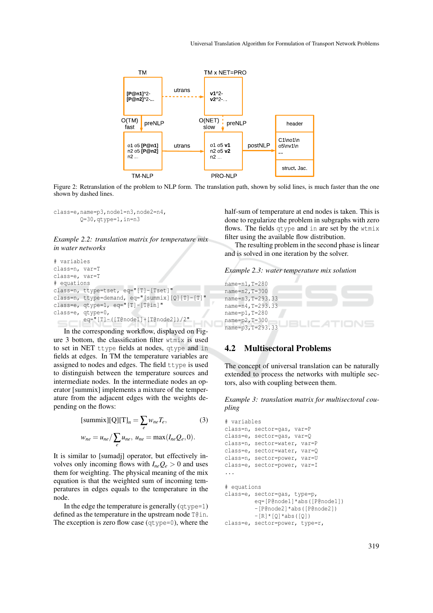

Figure 2: Retranslation of the problem to NLP form. The translation path, shown by solid lines, is much faster than the one shown by dashed lines.

class=e,name=p3,node1=n3,node2=n4, Q=30,qtype=1,in=n3



```
# variables
class=n, var=T
class=e, var=T
# equations
class=n, ttype=tset, eq="[T]-[Tset]"
class=n, ttype=demand, eq="[summix][Q][T]-[T]"
class=e, qtype=1, eq="[T]-[T@in]"
class=e, qtype=0,
 eq="[T]-([T@node1]+[T@node2])/2"
```
In the corresponding workflow, displayed on Figure 3 bottom, the classification filter wtmix is used to set in NET ttype fields at nodes, qtype and in fields at edges. In TM the temperature variables are assigned to nodes and edges. The field ttype is used to distinguish between the temperature sources and intermediate nodes. In the intermediate nodes an operator [summix] implements a mixture of the temperature from the adjacent edges with the weights depending on the flows:

$$
[\text{summix}][\text{Q}][\text{T}]_n = \sum_{e} w_{ne} T_e,
$$
 (3)  

$$
w_{ne} = u_{ne} / \sum_{e} u_{ne}, u_{ne} = \max(I_{ne} Q_e, 0).
$$

It is similar to [sumadj] operator, but effectively involves only incoming flows with  $I_{ne}Q_e > 0$  and uses them for weighting. The physical meaning of the mix equation is that the weighted sum of incoming temperatures in edges equals to the temperature in the node.

In the edge the temperature is generally  $(q<sub>type=1</sub>)$ defined as the temperature in the upstream node T@in. The exception is zero flow case (qtype=0), where the half-sum of temperature at end nodes is taken. This is done to regularize the problem in subgraphs with zero flows. The fields qtype and in are set by the wtmix filter using the available flow distribution.

The resulting problem in the second phase is linear and is solved in one iteration by the solver.

```
Example 2.3: water temperature mix solution
```

```
name=n1,T=280
name=n2,T=300
name=n3,T=293.33
name=n4,T=293.33
name=p1,T=280
name=p2,T=300
name=p3,T=293.33
```
## 4.2 Multisectoral Problems

The concept of universal translation can be naturally extended to process the networks with multiple sectors, also with coupling between them.

*Example 3: translation matrix for multisectoral coupling*

```
# variables
class=n, sector=gas, var=P
class=e, sector=gas, var=Q
class=n, sector=water, var=P
class=e, sector=water, var=Q
class=n, sector=power, var=U
class=e, sector=power, var=I
...
# equations
class=e, sector=gas, type=p,
         eq=[P@node1]*abs([P@node1])
         -[P@node2]*abs([P@node2])
         -[R] * [Q] * abs([Q])class=e, sector=power, type=r,
```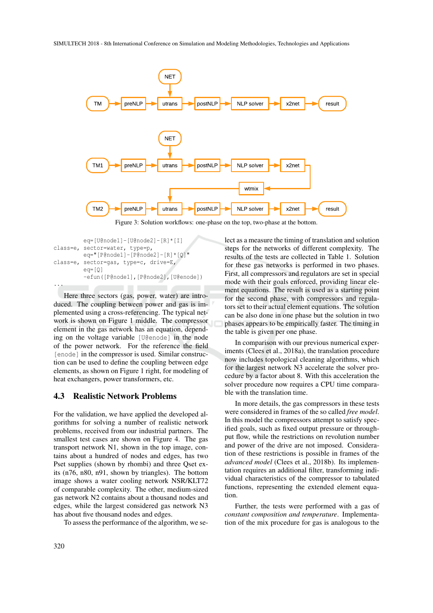

Figure 3: Solution workflows: one-phase on the top, two-phase at the bottom.

```
eq=[U@node1]-[U@node2]-[R]*[I]
class=e, sector=water, type=p,
         eq="[P@node1]-[P@node2]-[R]*[Q]"
class=e, sector=gas, type=c, drive=E,
         eq=[Q]
         -efun([P@node1],[P@node2],[U@enode])
...
```
Here three sectors (gas, power, water) are introduced. The coupling between power and gas is implemented using a cross-referencing. The typical network is shown on Figure 1 middle. The compressor element in the gas network has an equation, depending on the voltage variable [U@enode] in the node of the power network. For the reference the field [enode] in the compressor is used. Similar construction can be used to define the coupling between edge elements, as shown on Figure 1 right, for modeling of heat exchangers, power transformers, etc.

### 4.3 Realistic Network Problems

For the validation, we have applied the developed algorithms for solving a number of realistic network problems, received from our industrial partners. The smallest test cases are shown on Figure 4. The gas transport network N1, shown in the top image, contains about a hundred of nodes and edges, has two Pset supplies (shown by rhombi) and three Qset exits (n76, n80, n91, shown by triangles). The bottom image shows a water cooling network NSR/KLT72 of comparable complexity. The other, medium-sized gas network N2 contains about a thousand nodes and edges, while the largest considered gas network N3 has about five thousand nodes and edges.

To assess the performance of the algorithm, we se-

lect as a measure the timing of translation and solution steps for the networks of different complexity. The results of the tests are collected in Table 1. Solution for these gas networks is performed in two phases. First, all compressors and regulators are set in special mode with their goals enforced, providing linear element equations. The result is used as a starting point for the second phase, with compressors and regulators set to their actual element equations. The solution can be also done in one phase but the solution in two phases appears to be empirically faster. The timing in the table is given per one phase.

In comparison with our previous numerical experiments (Clees et al., 2018a), the translation procedure now includes topological cleaning algorithms, which for the largest network N3 accelerate the solver procedure by a factor about 8. With this acceleration the solver procedure now requires a CPU time comparable with the translation time.

In more details, the gas compressors in these tests were considered in frames of the so called *free model*. In this model the compressors attempt to satisfy specified goals, such as fixed output pressure or throughput flow, while the restrictions on revolution number and power of the drive are not imposed. Consideration of these restrictions is possible in frames of the *advanced model* (Clees et al., 2018b). Its implementation requires an additional filter, transforming individual characteristics of the compressor to tabulated functions, representing the extended element equation.

Further, the tests were performed with a gas of *constant composition and temperature*. Implementation of the mix procedure for gas is analogous to the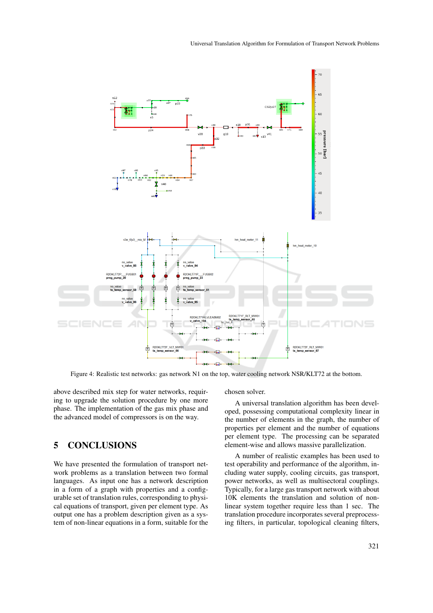

Figure 4: Realistic test networks: gas network N1 on the top, water cooling network NSR/KLT72 at the bottom.

above described mix step for water networks, requiring to upgrade the solution procedure by one more phase. The implementation of the gas mix phase and the advanced model of compressors is on the way.

# 5 CONCLUSIONS

We have presented the formulation of transport network problems as a translation between two formal languages. As input one has a network description in a form of a graph with properties and a configurable set of translation rules, corresponding to physical equations of transport, given per element type. As output one has a problem description given as a system of non-linear equations in a form, suitable for the chosen solver.

A universal translation algorithm has been developed, possessing computational complexity linear in the number of elements in the graph, the number of properties per element and the number of equations per element type. The processing can be separated element-wise and allows massive parallelization.

A number of realistic examples has been used to test operability and performance of the algorithm, including water supply, cooling circuits, gas transport, power networks, as well as multisectoral couplings. Typically, for a large gas transport network with about 10K elements the translation and solution of nonlinear system together require less than 1 sec. The translation procedure incorporates several preprocessing filters, in particular, topological cleaning filters,